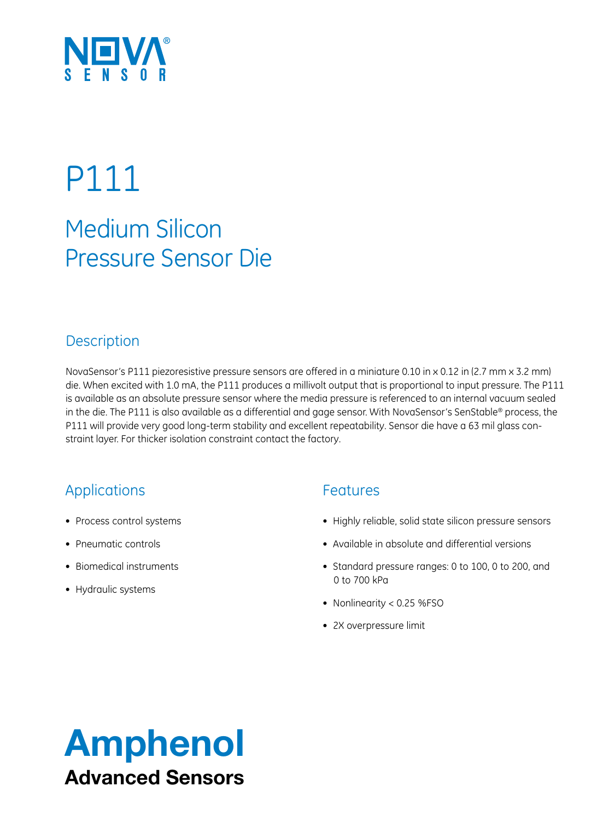

# P111

## Medium Silicon Pressure Sensor Die

### **Description**

NovaSensor's P111 piezoresistive pressure sensors are offered in a miniature 0.10 in x 0.12 in (2.7 mm x 3.2 mm) die. When excited with 1.0 mA, the P111 produces a millivolt output that is proportional to input pressure. The P111 is available as an absolute pressure sensor where the media pressure is referenced to an internal vacuum sealed in the die. The P111 is also available as a differential and gage sensor. With NovaSensor's SenStable® process, the P111 will provide very good long-term stability and excellent repeatability. Sensor die have a 63 mil glass constraint layer. For thicker isolation constraint contact the factory.

## Applications

- • Process control systems
- Pneumatic controls
- Biomedical instruments
- • Hydraulic systems

### Features

- • Highly reliable, solid state silicon pressure sensors
- Available in absolute and differential versions
- • Standard pressure ranges: 0 to 100, 0 to 200, and 0 to 700 kPa
- Nonlinearity < 0.25 %FSO
- 2X overpressure limit

# Amphenol Advanced Sensors